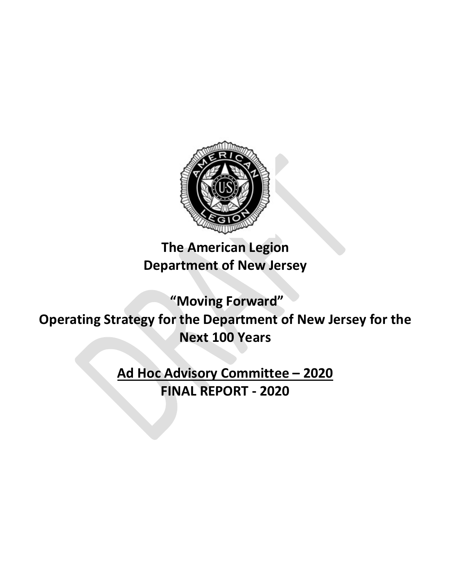

**The American Legion Department of New Jersey**

**"Moving Forward" Operating Strategy for the Department of New Jersey for the Next 100 Years**

> **Ad Hoc Advisory Committee – 2020 FINAL REPORT - 2020**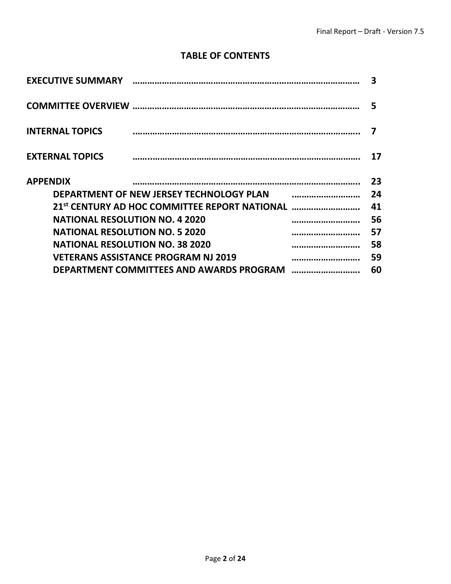### **TABLE OF CONTENTS**

|                                                           | 3      |
|-----------------------------------------------------------|--------|
|                                                           | 5      |
| <b>INTERNAL TOPICS</b>                                    | 7      |
| <b>EXTERNAL TOPICS</b>                                    | 17     |
| <b>APPENDIX</b>                                           | 23     |
| <b>DEPARTMENT OF NEW JERSEY TECHNOLOGY PLAN</b>           | 24     |
| 21 <sup>st</sup> CENTURY AD HOC COMMITTEE REPORT NATIONAL | <br>41 |
| <b>NATIONAL RESOLUTION NO. 4 2020</b>                     | 56     |
| <b>NATIONAL RESOLUTION NO. 5 2020</b>                     | <br>57 |
| <b>NATIONAL RESOLUTION NO. 38 2020</b>                    | <br>58 |
| <b>VETERANS ASSISTANCE PROGRAM NJ 2019</b>                | 59     |
| DEPARTMENT COMMITTEES AND AWARDS PROGRAM                  | 60     |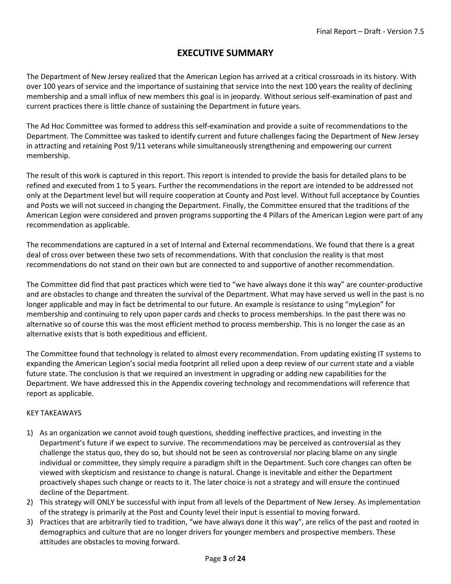### **EXECUTIVE SUMMARY**

The Department of New Jersey realized that the American Legion has arrived at a critical crossroads in its history. With over 100 years of service and the importance of sustaining that service into the next 100 years the reality of declining membership and a small influx of new members this goal is in jeopardy. Without serious self-examination of past and current practices there is little chance of sustaining the Department in future years.

The Ad Hoc Committee was formed to address this self-examination and provide a suite of recommendations to the Department. The Committee was tasked to identify current and future challenges facing the Department of New Jersey in attracting and retaining Post 9/11 veterans while simultaneously strengthening and empowering our current membership.

The result of this work is captured in this report. This report is intended to provide the basis for detailed plans to be refined and executed from 1 to 5 years. Further the recommendations in the report are intended to be addressed not only at the Department level but will require cooperation at County and Post level. Without full acceptance by Counties and Posts we will not succeed in changing the Department. Finally, the Committee ensured that the traditions of the American Legion were considered and proven programs supporting the 4 Pillars of the American Legion were part of any recommendation as applicable.

The recommendations are captured in a set of Internal and External recommendations. We found that there is a great deal of cross over between these two sets of recommendations. With that conclusion the reality is that most recommendations do not stand on their own but are connected to and supportive of another recommendation.

The Committee did find that past practices which were tied to "we have always done it this way" are counter-productive and are obstacles to change and threaten the survival of the Department. What may have served us well in the past is no longer applicable and may in fact be detrimental to our future. An example is resistance to using "myLegion" for membership and continuing to rely upon paper cards and checks to process memberships. In the past there was no alternative so of course this was the most efficient method to process membership. This is no longer the case as an alternative exists that is both expeditious and efficient.

The Committee found that technology is related to almost every recommendation. From updating existing IT systems to expanding the American Legion's social media footprint all relied upon a deep review of our current state and a viable future state. The conclusion is that we required an investment in upgrading or adding new capabilities for the Department. We have addressed this in the Appendix covering technology and recommendations will reference that report as applicable.

#### KEY TAKEAWAYS

- 1) As an organization we cannot avoid tough questions, shedding ineffective practices, and investing in the Department's future if we expect to survive. The recommendations may be perceived as controversial as they challenge the status quo, they do so, but should not be seen as controversial nor placing blame on any single individual or committee, they simply require a paradigm shift in the Department. Such core changes can often be viewed with skepticism and resistance to change is natural. Change is inevitable and either the Department proactively shapes such change or reacts to it. The later choice is not a strategy and will ensure the continued decline of the Department.
- 2) This strategy will ONLY be successful with input from all levels of the Department of New Jersey. As implementation of the strategy is primarily at the Post and County level their input is essential to moving forward.
- 3) Practices that are arbitrarily tied to tradition, "we have always done it this way", are relics of the past and rooted in demographics and culture that are no longer drivers for younger members and prospective members. These attitudes are obstacles to moving forward.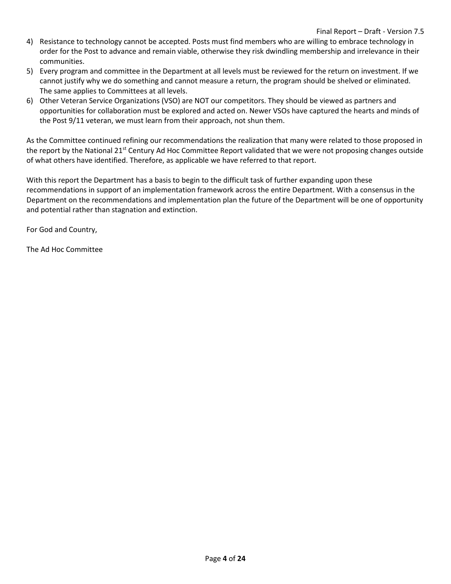- 4) Resistance to technology cannot be accepted. Posts must find members who are willing to embrace technology in order for the Post to advance and remain viable, otherwise they risk dwindling membership and irrelevance in their communities.
- 5) Every program and committee in the Department at all levels must be reviewed for the return on investment. If we cannot justify why we do something and cannot measure a return, the program should be shelved or eliminated. The same applies to Committees at all levels.
- 6) Other Veteran Service Organizations (VSO) are NOT our competitors. They should be viewed as partners and opportunities for collaboration must be explored and acted on. Newer VSOs have captured the hearts and minds of the Post 9/11 veteran, we must learn from their approach, not shun them.

As the Committee continued refining our recommendations the realization that many were related to those proposed in the report by the National  $21^{st}$  Century Ad Hoc Committee Report validated that we were not proposing changes outside of what others have identified. Therefore, as applicable we have referred to that report.

With this report the Department has a basis to begin to the difficult task of further expanding upon these recommendations in support of an implementation framework across the entire Department. With a consensus in the Department on the recommendations and implementation plan the future of the Department will be one of opportunity and potential rather than stagnation and extinction.

For God and Country,

The Ad Hoc Committee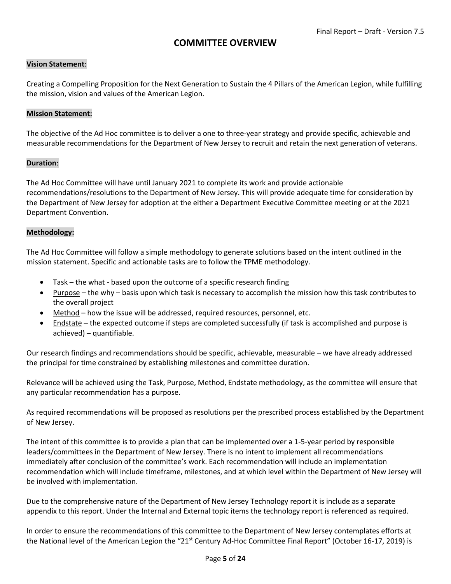#### **COMMITTEE OVERVIEW**

#### **Vision Statement**:

Creating a Compelling Proposition for the Next Generation to Sustain the 4 Pillars of the American Legion, while fulfilling the mission, vision and values of the American Legion.

#### **Mission Statement:**

The objective of the Ad Hoc committee is to deliver a one to three-year strategy and provide specific, achievable and measurable recommendations for the Department of New Jersey to recruit and retain the next generation of veterans.

#### **Duration**:

The Ad Hoc Committee will have until January 2021 to complete its work and provide actionable recommendations/resolutions to the Department of New Jersey. This will provide adequate time for consideration by the Department of New Jersey for adoption at the either a Department Executive Committee meeting or at the 2021 Department Convention.

#### **Methodology:**

The Ad Hoc Committee will follow a simple methodology to generate solutions based on the intent outlined in the mission statement. Specific and actionable tasks are to follow the TPME methodology.

- Task the what based upon the outcome of a specific research finding
- Purpose the why basis upon which task is necessary to accomplish the mission how this task contributes to the overall project
- Method how the issue will be addressed, required resources, personnel, etc.
- Endstate the expected outcome if steps are completed successfully (if task is accomplished and purpose is achieved) – quantifiable.

Our research findings and recommendations should be specific, achievable, measurable – we have already addressed the principal for time constrained by establishing milestones and committee duration.

Relevance will be achieved using the Task, Purpose, Method, Endstate methodology, as the committee will ensure that any particular recommendation has a purpose.

As required recommendations will be proposed as resolutions per the prescribed process established by the Department of New Jersey.

The intent of this committee is to provide a plan that can be implemented over a 1-5-year period by responsible leaders/committees in the Department of New Jersey. There is no intent to implement all recommendations immediately after conclusion of the committee's work. Each recommendation will include an implementation recommendation which will include timeframe, milestones, and at which level within the Department of New Jersey will be involved with implementation.

Due to the comprehensive nature of the Department of New Jersey Technology report it is include as a separate appendix to this report. Under the Internal and External topic items the technology report is referenced as required.

In order to ensure the recommendations of this committee to the Department of New Jersey contemplates efforts at the National level of the American Legion the "21<sup>st</sup> Century Ad-Hoc Committee Final Report" (October 16-17, 2019) is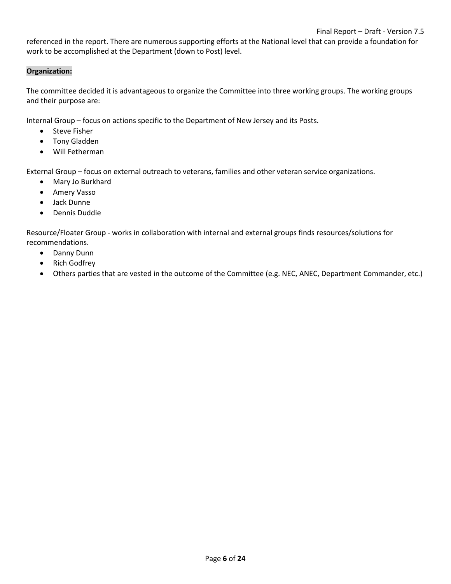referenced in the report. There are numerous supporting efforts at the National level that can provide a foundation for work to be accomplished at the Department (down to Post) level.

#### **Organization:**

The committee decided it is advantageous to organize the Committee into three working groups. The working groups and their purpose are:

Internal Group – focus on actions specific to the Department of New Jersey and its Posts.

- Steve Fisher
- Tony Gladden
- Will Fetherman

External Group – focus on external outreach to veterans, families and other veteran service organizations.

- Mary Jo Burkhard
- Amery Vasso
- Jack Dunne
- Dennis Duddie

Resource/Floater Group - works in collaboration with internal and external groups finds resources/solutions for recommendations.

- Danny Dunn
- Rich Godfrey
- Others parties that are vested in the outcome of the Committee (e.g. NEC, ANEC, Department Commander, etc.)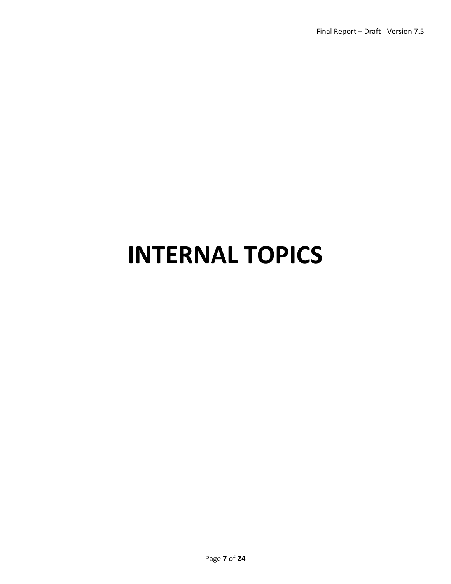## **INTERNAL TOPICS**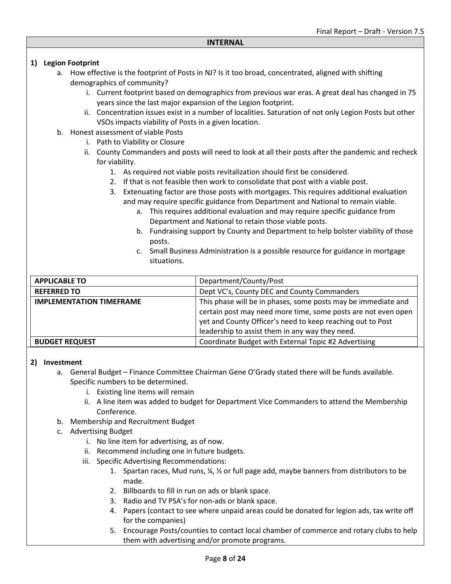#### **1) Legion Footprint**

- a. How effective is the footprint of Posts in NJ? Is it too broad, concentrated, aligned with shifting demographics of community?
	- i. Current footprint based on demographics from previous war eras. A great deal has changed in 75 years since the last major expansion of the Legion footprint.
	- ii. Concentration issues exist in a number of localities. Saturation of not only Legion Posts but other VSOs impacts viability of Posts in a given location.
- b. Honest assessment of viable Posts
	- i. Path to Viability or Closure
	- ii. County Commanders and posts will need to look at all their posts after the pandemic and recheck for viability.
		- 1. As required not viable posts revitalization should first be considered.
		- 2. If that is not feasible then work to consolidate that post with a viable post.
		- 3. Extenuating factor are those posts with mortgages. This requires additional evaluation and may require specific guidance from Department and National to remain viable.
			- a. This requires additional evaluation and may require specific guidance from Department and National to retain those viable posts.
			- b. Fundraising support by County and Department to help bolster viability of those posts.
			- c. Small Business Administration is a possible resource for guidance in mortgage situations.

| <b>APPLICABLE TO</b>            | Department/County/Post                                                                                                                                                                       |
|---------------------------------|----------------------------------------------------------------------------------------------------------------------------------------------------------------------------------------------|
| <b>REFERRED TO</b>              | Dept VC's, County DEC and County Commanders                                                                                                                                                  |
| <b>IMPLEMENTATION TIMEFRAME</b> | This phase will be in phases, some posts may be immediate and<br>certain post may need more time, some posts are not even open<br>yet and County Officer's need to keep reaching out to Post |
| <b>BUDGET REQUEST</b>           | leadership to assist them in any way they need.<br>Coordinate Budget with External Topic #2 Advertising                                                                                      |

#### **2) Investment**

- a. General Budget Finance Committee Chairman Gene O'Grady stated there will be funds available. Specific numbers to be determined.
	- i. Existing line items will remain
	- ii. A line item was added to budget for Department Vice Commanders to attend the Membership Conference.
- b. Membership and Recruitment Budget
- c. Advertising Budget
	- i. No line item for advertising, as of now.
	- ii. Recommend including one in future budgets.
	- iii. Specific Advertising Recommendations:
		- 1. Spartan races, Mud runs,  $\frac{1}{4}$ ,  $\frac{1}{2}$  or full page add, maybe banners from distributors to be made.
		- 2. Billboards to fill in run on ads or blank space.
		- 3. Radio and TV PSA's for non-ads or blank space.
		- 4. Papers (contact to see where unpaid areas could be donated for legion ads, tax write off for the companies)
		- 5. Encourage Posts/counties to contact local chamber of commerce and rotary clubs to help them with advertising and/or promote programs.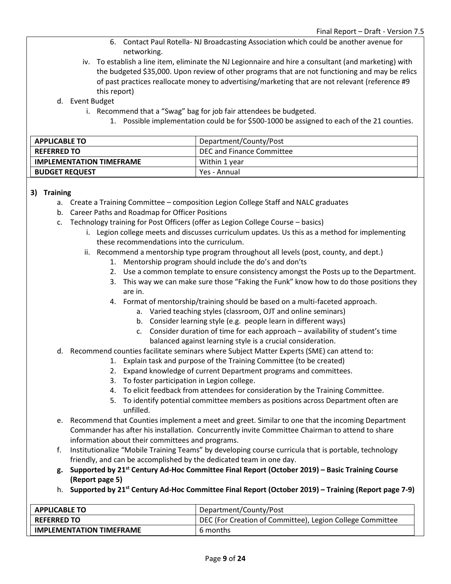- 6. Contact Paul Rotella- NJ Broadcasting Association which could be another avenue for networking.
- iv. To establish a line item, eliminate the NJ Legionnaire and hire a consultant (and marketing) with the budgeted \$35,000. Upon review of other programs that are not functioning and may be relics of past practices reallocate money to advertising/marketing that are not relevant (reference #9 this report)
- d. Event Budget
	- i. Recommend that a "Swag" bag for job fair attendees be budgeted.
		- 1. Possible implementation could be for \$500-1000 be assigned to each of the 21 counties.

| <b>APPLICABLE TO</b>            | Department/County/Post    |
|---------------------------------|---------------------------|
| <b>REFERRED TO</b>              | DEC and Finance Committee |
| <b>IMPLEMENTATION TIMEFRAME</b> | Within 1 year             |
| <b>BUDGET REQUEST</b>           | Yes - Annual              |

#### **3) Training**

- a. Create a Training Committee composition Legion College Staff and NALC graduates
- b. Career Paths and Roadmap for Officer Positions
- c. Technology training for Post Officers (offer as Legion College Course basics)
	- i. Legion college meets and discusses curriculum updates. Us this as a method for implementing these recommendations into the curriculum.
	- ii. Recommend a mentorship type program throughout all levels (post, county, and dept.)
		- 1. Mentorship program should include the do's and don'ts
		- 2. Use a common template to ensure consistency amongst the Posts up to the Department.
		- 3. This way we can make sure those "Faking the Funk" know how to do those positions they are in.
		- 4. Format of mentorship/training should be based on a multi-faceted approach.
			- a. Varied teaching styles (classroom, OJT and online seminars)
			- b. Consider learning style (e.g. people learn in different ways)
			- c. Consider duration of time for each approach availability of student's time balanced against learning style is a crucial consideration.
- d. Recommend counties facilitate seminars where Subject Matter Experts (SME) can attend to:
	- 1. Explain task and purpose of the Training Committee (to be created)
	- 2. Expand knowledge of current Department programs and committees.
	- 3. To foster participation in Legion college.
	- 4. To elicit feedback from attendees for consideration by the Training Committee.
	- 5. To identify potential committee members as positions across Department often are unfilled.
- e. Recommend that Counties implement a meet and greet. Similar to one that the incoming Department Commander has after his installation. Concurrently invite Committee Chairman to attend to share information about their committees and programs.
- f. Institutionalize "Mobile Training Teams" by developing course curricula that is portable, technology friendly, and can be accomplished by the dedicated team in one day.
- **g. Supported by 21st Century Ad-Hoc Committee Final Report (October 2019) – Basic Training Course (Report page 5)**
- h. **Supported by 21st Century Ad-Hoc Committee Final Report (October 2019) – Training (Report page 7-9)**

| <b>APPLICABLE TO</b>            | Department/County/Post                                    |
|---------------------------------|-----------------------------------------------------------|
| <b>REFERRED TO</b>              | DEC (For Creation of Committee), Legion College Committee |
| <b>IMPLEMENTATION TIMEFRAME</b> | 6 months                                                  |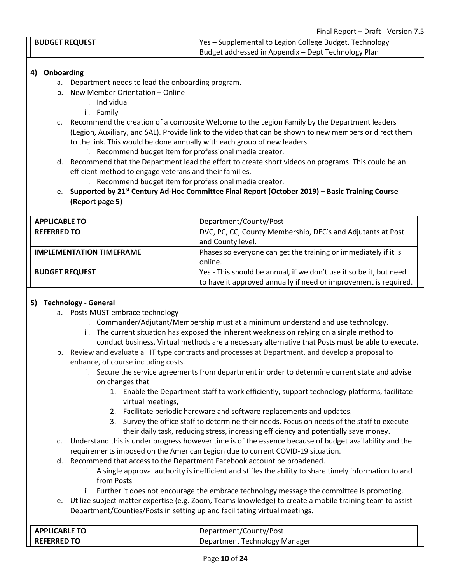| <b>BUDGET REQUEST</b> | Yes - Supplemental to Legion College Budget. Technology |  |
|-----------------------|---------------------------------------------------------|--|
|                       | Budget addressed in Appendix - Dept Technology Plan     |  |

#### **4) Onboarding**

- a. Department needs to lead the onboarding program.
- b. New Member Orientation Online
	- i. Individual
	- ii. Family
- c. Recommend the creation of a composite Welcome to the Legion Family by the Department leaders (Legion, Auxiliary, and SAL). Provide link to the video that can be shown to new members or direct them to the link. This would be done annually with each group of new leaders.
	- i. Recommend budget item for professional media creator.
- d. Recommend that the Department lead the effort to create short videos on programs. This could be an efficient method to engage veterans and their families.
	- i. Recommend budget item for professional media creator.
- e. **Supported by 21st Century Ad-Hoc Committee Final Report (October 2019) – Basic Training Course (Report page 5)**

| <b>APPLICABLE TO</b>            | Department/County/Post                                             |
|---------------------------------|--------------------------------------------------------------------|
| <b>REFERRED TO</b>              | DVC, PC, CC, County Membership, DEC's and Adjutants at Post        |
|                                 | and County level.                                                  |
| <b>IMPLEMENTATION TIMEFRAME</b> | Phases so everyone can get the training or immediately if it is    |
|                                 | online.                                                            |
| <b>BUDGET REQUEST</b>           | Yes - This should be annual, if we don't use it so be it, but need |
|                                 | to have it approved annually if need or improvement is required.   |

#### **5) Technology - General**

- a. Posts MUST embrace technology
	- i. Commander/Adjutant/Membership must at a minimum understand and use technology.
	- ii. The current situation has exposed the inherent weakness on relying on a single method to conduct business. Virtual methods are a necessary alternative that Posts must be able to execute.
- b. Review and evaluate all IT type contracts and processes at Department, and develop a proposal to enhance, of course including costs.
	- i. Secure the service agreements from department in order to determine current state and advise on changes that
		- 1. Enable the Department staff to work efficiently, support technology platforms, facilitate virtual meetings,
		- 2. Facilitate periodic hardware and software replacements and updates.
		- 3. Survey the office staff to determine their needs. Focus on needs of the staff to execute their daily task, reducing stress, increasing efficiency and potentially save money.
- c. Understand this is under progress however time is of the essence because of budget availability and the requirements imposed on the American Legion due to current COVID-19 situation.
- d. Recommend that access to the Department Facebook account be broadened.
	- i. A single approval authority is inefficient and stifles the ability to share timely information to and from Posts
	- ii. Further it does not encourage the embrace technology message the committee is promoting.
- e. Utilize subject matter expertise (e.g. Zoom, Teams knowledge) to create a mobile training team to assist Department/Counties/Posts in setting up and facilitating virtual meetings.

| <b>APPLICABLE TO</b> | Department/County/Post        |
|----------------------|-------------------------------|
| <b>REFERRED TO</b>   | Department Technology Manager |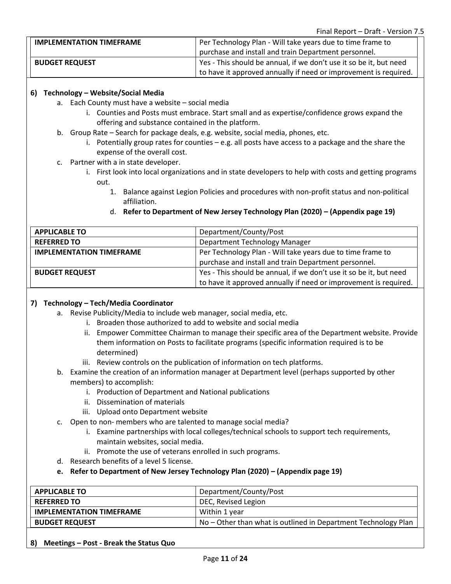| <b>IMPLEMENTATION TIMEFRAME</b> | Per Technology Plan - Will take years due to time frame to         |
|---------------------------------|--------------------------------------------------------------------|
|                                 | purchase and install and train Department personnel.               |
| <b>BUDGET REQUEST</b>           | Yes - This should be annual, if we don't use it so be it, but need |
|                                 | to have it approved annually if need or improvement is required.   |

#### **6) Technology – Website/Social Media**

- a. Each County must have a website social media
	- i. Counties and Posts must embrace. Start small and as expertise/confidence grows expand the offering and substance contained in the platform.
- b. Group Rate Search for package deals, e.g. website, social media, phones, etc.
	- i. Potentially group rates for counties  $-e.g.$  all posts have access to a package and the share the expense of the overall cost.
- c. Partner with a in state developer.
	- i. First look into local organizations and in state developers to help with costs and getting programs out.
		- 1. Balance against Legion Policies and procedures with non-profit status and non-political affiliation.
- **APPLICABLE TO** Department/County/Post **REFERRED TO Department Technology Manager Department Technology Manager IMPLEMENTATION TIMEFRAME** Per Technology Plan - Will take years due to time frame to purchase and install and train Department personnel. **BUDGET REQUEST** Yes - This should be annual, if we don't use it so be it, but need to have it approved annually if need or improvement is required.
- d. **Refer to Department of New Jersey Technology Plan (2020) – (Appendix page 19)**

#### **7) Technology – Tech/Media Coordinator**

- a. Revise Publicity/Media to include web manager, social media, etc.
	- i. Broaden those authorized to add to website and social media
		- ii. Empower Committee Chairman to manage their specific area of the Department website. Provide them information on Posts to facilitate programs (specific information required is to be determined)
	- iii. Review controls on the publication of information on tech platforms.
- b. Examine the creation of an information manager at Department level (perhaps supported by other members) to accomplish:
	- i. Production of Department and National publications
	- ii. Dissemination of materials
	- iii. Upload onto Department website
- c. Open to non- members who are talented to manage social media?
	- i. Examine partnerships with local colleges/technical schools to support tech requirements, maintain websites, social media.
	- ii. Promote the use of veterans enrolled in such programs.
- d. Research benefits of a level 5 license.
- **e. Refer to Department of New Jersey Technology Plan (2020) – (Appendix page 19)**

| <b>APPLICABLE TO</b>            | Department/County/Post                                         |
|---------------------------------|----------------------------------------------------------------|
| <b>REFERRED TO</b>              | DEC, Revised Legion                                            |
| <b>IMPLEMENTATION TIMEFRAME</b> | Within 1 year                                                  |
| <b>BUDGET REQUEST</b>           | No – Other than what is outlined in Department Technology Plan |

**8) Meetings – Post - Break the Status Quo**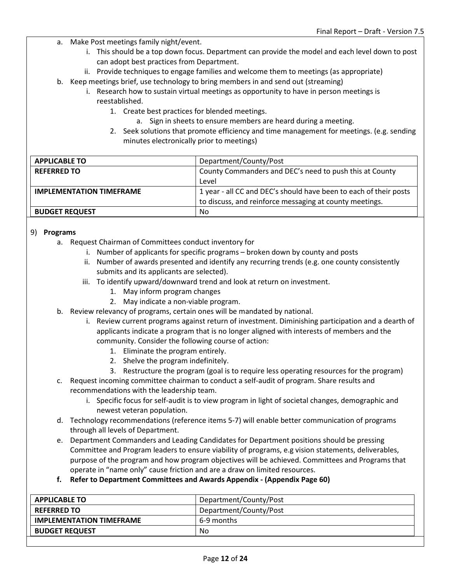- a. Make Post meetings family night/event.
	- i. This should be a top down focus. Department can provide the model and each level down to post can adopt best practices from Department.
	- ii. Provide techniques to engage families and welcome them to meetings (as appropriate)
- b. Keep meetings brief, use technology to bring members in and send out (streaming)
	- i. Research how to sustain virtual meetings as opportunity to have in person meetings is reestablished.
		- 1. Create best practices for blended meetings.
			- a. Sign in sheets to ensure members are heard during a meeting.
		- 2. Seek solutions that promote efficiency and time management for meetings. (e.g. sending minutes electronically prior to meetings)

| <b>APPLICABLE TO</b>            | Department/County/Post                                            |
|---------------------------------|-------------------------------------------------------------------|
| <b>REFERRED TO</b>              | County Commanders and DEC's need to push this at County           |
|                                 | Level                                                             |
| <b>IMPLEMENTATION TIMEFRAME</b> | 1 year - all CC and DEC's should have been to each of their posts |
|                                 | to discuss, and reinforce messaging at county meetings.           |
| <b>BUDGET REQUEST</b>           | No                                                                |

#### 9) **Programs**

- a. Request Chairman of Committees conduct inventory for
	- i. Number of applicants for specific programs broken down by county and posts
	- ii. Number of awards presented and identify any recurring trends (e.g. one county consistently submits and its applicants are selected).
	- iii. To identify upward/downward trend and look at return on investment.
		- 1. May inform program changes
		- 2. May indicate a non-viable program.
- b. Review relevancy of programs, certain ones will be mandated by national.
	- i. Review current programs against return of investment. Diminishing participation and a dearth of applicants indicate a program that is no longer aligned with interests of members and the community. Consider the following course of action:
		- 1. Eliminate the program entirely.
		- 2. Shelve the program indefinitely.
		- 3. Restructure the program (goal is to require less operating resources for the program)
- c. Request incoming committee chairman to conduct a self-audit of program. Share results and recommendations with the leadership team.
	- i. Specific focus for self-audit is to view program in light of societal changes, demographic and newest veteran population.
- d. Technology recommendations (reference items 5-7) will enable better communication of programs through all levels of Department.
- e. Department Commanders and Leading Candidates for Department positions should be pressing Committee and Program leaders to ensure viability of programs, e.g vision statements, deliverables, purpose of the program and how program objectives will be achieved. Committees and Programs that operate in "name only" cause friction and are a draw on limited resources.

**f. Refer to Department Committees and Awards Appendix - (Appendix Page 60)**

| <b>APPLICABLE TO</b>            | Department/County/Post |
|---------------------------------|------------------------|
| <b>REFERRED TO</b>              | Department/County/Post |
| <b>IMPLEMENTATION TIMEFRAME</b> | 6-9 months             |
| <b>BUDGET REQUEST</b>           | No                     |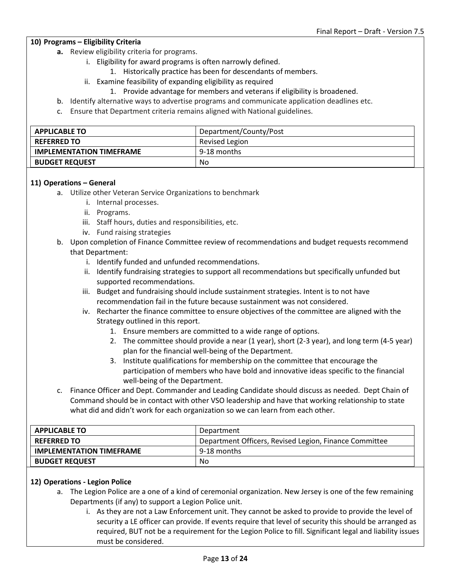#### **10) Programs – Eligibility Criteria**

- **a.** Review eligibility criteria for programs.
	- i. Eligibility for award programs is often narrowly defined.
		- 1. Historically practice has been for descendants of members.
	- ii. Examine feasibility of expanding eligibility as required
		- 1. Provide advantage for members and veterans if eligibility is broadened.
- b. Identify alternative ways to advertise programs and communicate application deadlines etc.
- c. Ensure that Department criteria remains aligned with National guidelines.

| <b>APPLICABLE TO</b>            | Department/County/Post |
|---------------------------------|------------------------|
| <b>REFERRED TO</b>              | Revised Legion         |
| <b>IMPLEMENTATION TIMEFRAME</b> | 9-18 months            |
| <b>BUDGET REQUEST</b>           | No                     |

#### **11) Operations – General**

- a. Utilize other Veteran Service Organizations to benchmark
	- i. Internal processes.
	- ii. Programs.
	- iii. Staff hours, duties and responsibilities, etc.
	- iv. Fund raising strategies
- b. Upon completion of Finance Committee review of recommendations and budget requests recommend that Department:
	- i. Identify funded and unfunded recommendations.
	- ii. Identify fundraising strategies to support all recommendations but specifically unfunded but supported recommendations.
	- iii. Budget and fundraising should include sustainment strategies. Intent is to not have recommendation fail in the future because sustainment was not considered.
	- iv. Recharter the finance committee to ensure objectives of the committee are aligned with the Strategy outlined in this report.
		- 1. Ensure members are committed to a wide range of options.
		- 2. The committee should provide a near (1 year), short (2-3 year), and long term (4-5 year) plan for the financial well-being of the Department.
		- 3. Institute qualifications for membership on the committee that encourage the participation of members who have bold and innovative ideas specific to the financial well-being of the Department.
- c. Finance Officer and Dept. Commander and Leading Candidate should discuss as needed. Dept Chain of Command should be in contact with other VSO leadership and have that working relationship to state what did and didn't work for each organization so we can learn from each other.

| <b>APPLICABLE TO</b>            | Department                                             |
|---------------------------------|--------------------------------------------------------|
| <b>REFERRED TO</b>              | Department Officers, Revised Legion, Finance Committee |
| <b>IMPLEMENTATION TIMEFRAME</b> | 9-18 months                                            |
| <b>BUDGET REQUEST</b>           | No                                                     |

#### **12) Operations - Legion Police**

- a. The Legion Police are a one of a kind of ceremonial organization. New Jersey is one of the few remaining Departments (if any) to support a Legion Police unit.
	- i. As they are not a Law Enforcement unit. They cannot be asked to provide to provide the level of security a LE officer can provide. If events require that level of security this should be arranged as required, BUT not be a requirement for the Legion Police to fill. Significant legal and liability issues must be considered.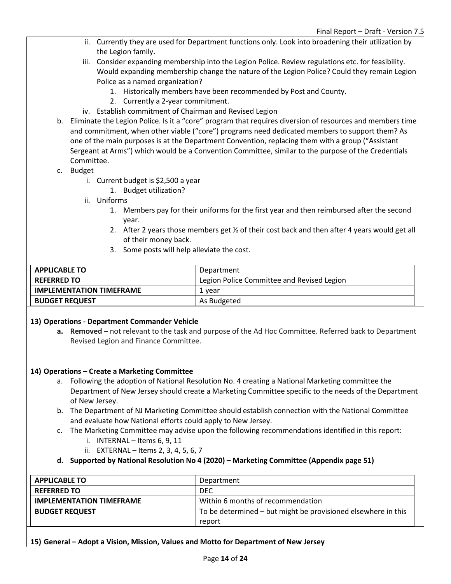- ii. Currently they are used for Department functions only. Look into broadening their utilization by the Legion family.
- iii. Consider expanding membership into the Legion Police. Review regulations etc. for feasibility. Would expanding membership change the nature of the Legion Police? Could they remain Legion Police as a named organization?
	- 1. Historically members have been recommended by Post and County.
	- 2. Currently a 2-year commitment.
- iv. Establish commitment of Chairman and Revised Legion
- b. Eliminate the Legion Police. Is it a "core" program that requires diversion of resources and members time and commitment, when other viable ("core") programs need dedicated members to support them? As one of the main purposes is at the Department Convention, replacing them with a group ("Assistant Sergeant at Arms") which would be a Convention Committee, similar to the purpose of the Credentials Committee.
- c. Budget
	- i. Current budget is \$2,500 a year
		- 1. Budget utilization?
	- ii. Uniforms
		- 1. Members pay for their uniforms for the first year and then reimbursed after the second year.
		- 2. After 2 years those members get  $\frac{1}{2}$  of their cost back and then after 4 years would get all of their money back.
		- 3. Some posts will help alleviate the cost.

| <b>APPLICABLE TO</b>            | Department                                 |
|---------------------------------|--------------------------------------------|
| <b>REFERRED TO</b>              | Legion Police Committee and Revised Legion |
| <b>IMPLEMENTATION TIMEFRAME</b> | 1 vear                                     |
| <b>BUDGET REQUEST</b>           | As Budgeted                                |

#### **13) Operations - Department Commander Vehicle**

**a. Removed** – not relevant to the task and purpose of the Ad Hoc Committee. Referred back to Department Revised Legion and Finance Committee.

#### **14) Operations – Create a Marketing Committee**

- a. Following the adoption of National Resolution No. 4 creating a National Marketing committee the Department of New Jersey should create a Marketing Committee specific to the needs of the Department of New Jersey.
- b. The Department of NJ Marketing Committee should establish connection with the National Committee and evaluate how National efforts could apply to New Jersey.
- c. The Marketing Committee may advise upon the following recommendations identified in this report:
	- i. INTERNAL Items 6, 9, 11
	- ii. EXTERNAL Items 2, 3, 4, 5, 6, 7
- **d. Supported by National Resolution No 4 (2020) – Marketing Committee (Appendix page 51)**

| <b>APPLICABLE TO</b>            | Department                                                    |
|---------------------------------|---------------------------------------------------------------|
| <b>REFERRED TO</b>              | <b>DEC</b>                                                    |
| <b>IMPLEMENTATION TIMEFRAME</b> | Within 6 months of recommendation                             |
| <b>BUDGET REQUEST</b>           | To be determined - but might be provisioned elsewhere in this |
|                                 | report                                                        |

#### **15) General – Adopt a Vision, Mission, Values and Motto for Department of New Jersey**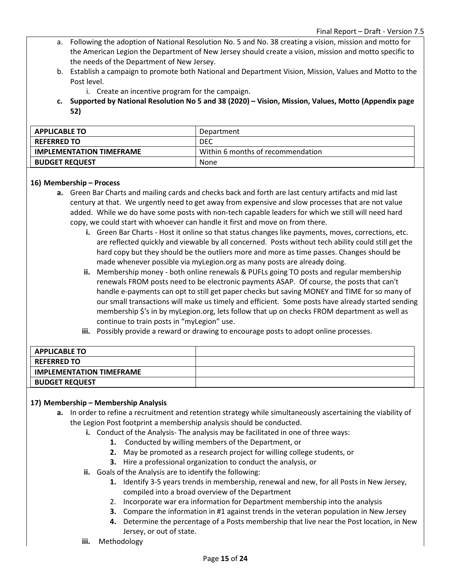- a. Following the adoption of National Resolution No. 5 and No. 38 creating a vision, mission and motto for the American Legion the Department of New Jersey should create a vision, mission and motto specific to the needs of the Department of New Jersey.
- b. Establish a campaign to promote both National and Department Vision, Mission, Values and Motto to the Post level.
	- i. Create an incentive program for the campaign.
- **c. Supported by National Resolution No 5 and 38 (2020) – Vision, Mission, Values, Motto (Appendix page 52)**

| <b>APPLICABLE TO</b>            | Department                        |
|---------------------------------|-----------------------------------|
| <b>REFERRED TO</b>              | DEC                               |
| <b>IMPLEMENTATION TIMEFRAME</b> | Within 6 months of recommendation |
| <b>BUDGET REQUEST</b>           | None                              |

#### **16) Membership – Process**

- **a.** Green Bar Charts and mailing cards and checks back and forth are last century artifacts and mid last century at that. We urgently need to get away from expensive and slow processes that are not value added. While we do have some posts with non-tech capable leaders for which we still will need hard copy, we could start with whoever can handle it first and move on from there.
	- **i.** Green Bar Charts Host it online so that status changes like payments, moves, corrections, etc. are reflected quickly and viewable by all concerned. Posts without tech ability could still get the hard copy but they should be the outliers more and more as time passes. Changes should be made whenever possible via myLegion.org as many posts are already doing.
	- **ii.** Membership money both online renewals & PUFLs going TO posts and regular membership renewals FROM posts need to be electronic payments ASAP. Of course, the posts that can't handle e-payments can opt to still get paper checks but saving MONEY and TIME for so many of our small transactions will make us timely and efficient. Some posts have already started sending membership \$'s in by myLegion.org, lets follow that up on checks FROM department as well as continue to train posts in "myLegion" use.
	- **iii.** Possibly provide a reward or drawing to encourage posts to adopt online processes.

| <b>APPLICABLE TO</b>            |  |
|---------------------------------|--|
| <b>REFERRED TO</b>              |  |
| <b>IMPLEMENTATION TIMEFRAME</b> |  |
| <b>BUDGET REQUEST</b>           |  |

#### **17) Membership – Membership Analysis**

- **a.** In order to refine a recruitment and retention strategy while simultaneously ascertaining the viability of the Legion Post footprint a membership analysis should be conducted.
	- **i.** Conduct of the Analysis- The analysis may be facilitated in one of three ways:
		- **1.** Conducted by willing members of the Department, or
		- **2.** May be promoted as a research project for willing college students, or
		- **3.** Hire a professional organization to conduct the analysis, or
	- **ii.** Goals of the Analysis are to identify the following:
		- **1.** Identify 3-5 years trends in membership, renewal and new, for all Posts in New Jersey, compiled into a broad overview of the Department
		- 2. Incorporate war era information for Department membership into the analysis
		- **3.** Compare the information in #1 against trends in the veteran population in New Jersey
		- **4.** Determine the percentage of a Posts membership that live near the Post location, in New Jersey, or out of state.
	- **iii.** Methodology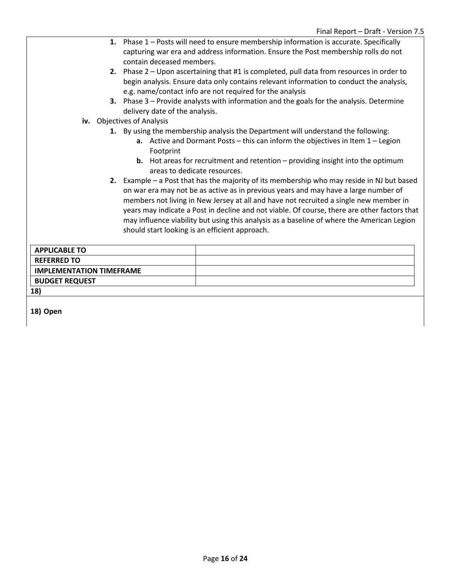- **1.** Phase 1 Posts will need to ensure membership information is accurate. Specifically capturing war era and address information. Ensure the Post membership rolls do not contain deceased members.
- **2.** Phase 2 Upon ascertaining that #1 is completed, pull data from resources in order to begin analysis. Ensure data only contains relevant information to conduct the analysis, e.g. name/contact info are not required for the analysis
- **3.** Phase 3 Provide analysts with information and the goals for the analysis. Determine delivery date of the analysis.
- **iv.** Objectives of Analysis
	- **1.** By using the membership analysis the Department will understand the following:
		- **a.** Active and Dormant Posts this can inform the objectives in Item 1 Legion Footprint
		- **b.** Hot areas for recruitment and retention providing insight into the optimum areas to dedicate resources.
	- **2.** Example a Post that has the majority of its membership who may reside in NJ but based on war era may not be as active as in previous years and may have a large number of members not living in New Jersey at all and have not recruited a single new member in years may indicate a Post in decline and not viable. Of course, there are other factors that may influence viability but using this analysis as a baseline of where the American Legion should start looking is an efficient approach.

| <b>APPLICABLE TO</b>            |  |
|---------------------------------|--|
| <b>REFERRED TO</b>              |  |
| <b>IMPLEMENTATION TIMEFRAME</b> |  |
| <b>BUDGET REQUEST</b>           |  |
| 18)                             |  |

**18) Open**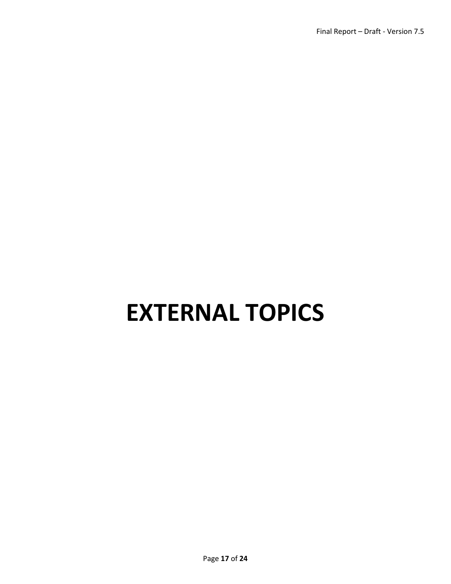# **EXTERNAL TOPICS**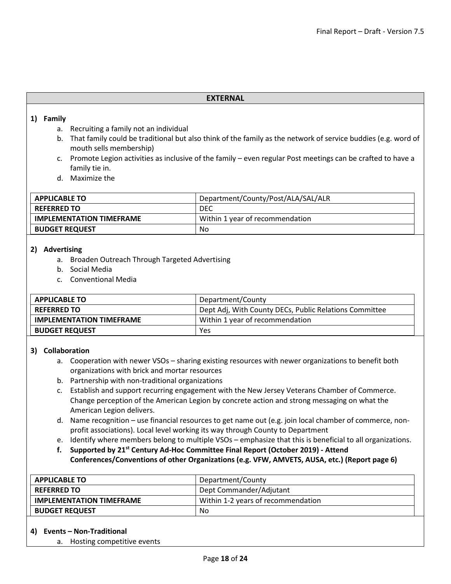#### **EXTERNAL**

#### **1) Family**

- a. Recruiting a family not an individual
- b. That family could be traditional but also think of the family as the network of service buddies (e.g. word of mouth sells membership)
- c. Promote Legion activities as inclusive of the family even regular Post meetings can be crafted to have a family tie in.
- d. Maximize the

| <b>APPLICABLE TO</b>            | Department/County/Post/ALA/SAL/ALR |
|---------------------------------|------------------------------------|
| <b>REFERRED TO</b>              | DEC                                |
| <b>IMPLEMENTATION TIMEFRAME</b> | Within 1 year of recommendation    |
| <b>BUDGET REQUEST</b>           | No                                 |

#### **2) Advertising**

- a. Broaden Outreach Through Targeted Advertising
- b. Social Media
- c. Conventional Media

| <b>APPLICABLE TO</b>            | Department/County                                      |
|---------------------------------|--------------------------------------------------------|
| <b>REFERRED TO</b>              | Dept Adj, With County DECs, Public Relations Committee |
| <b>IMPLEMENTATION TIMEFRAME</b> | Within 1 year of recommendation                        |
| <b>BUDGET REQUEST</b>           | Yes                                                    |

#### **3) Collaboration**

- a. Cooperation with newer VSOs sharing existing resources with newer organizations to benefit both organizations with brick and mortar resources
- b. Partnership with non-traditional organizations
- c. Establish and support recurring engagement with the New Jersey Veterans Chamber of Commerce. Change perception of the American Legion by concrete action and strong messaging on what the American Legion delivers.
- d. Name recognition use financial resources to get name out (e.g. join local chamber of commerce, nonprofit associations). Local level working its way through County to Department
- e. Identify where members belong to multiple VSOs emphasize that this is beneficial to all organizations.
- **f. Supported by 21st Century Ad-Hoc Committee Final Report (October 2019) - Attend Conferences/Conventions of other Organizations (e.g. VFW, AMVETS, AUSA, etc.) (Report page 6)**

| <b>APPLICABLE TO</b>            | Department/County                  |
|---------------------------------|------------------------------------|
| <b>REFERRED TO</b>              | Dept Commander/Adjutant            |
| <b>IMPLEMENTATION TIMEFRAME</b> | Within 1-2 years of recommendation |
| <b>BUDGET REQUEST</b>           | No                                 |

#### **4) Events – Non-Traditional**

a. Hosting competitive events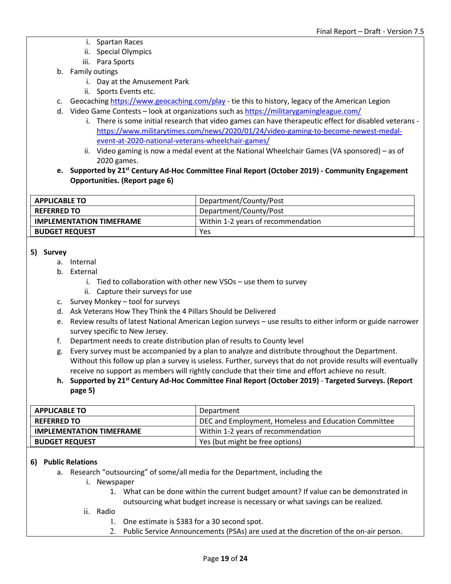- i. Spartan Races
- ii. Special Olympics
- iii. Para Sports
- b. Family outings
	- i. Day at the Amusement Park
	- ii. Sports Events etc.
- c. Geocaching<https://www.geocaching.com/play> tie this to history, legacy of the American Legion
- d. Video Game Contests look at organizations such a[s https://militarygamingleague.com/](https://militarygamingleague.com/)
	- i. There is some initial research that video games can have therapeutic effect for disabled veterans [https://www.militarytimes.com/news/2020/01/24/video-gaming-to-become-newest-medal](https://www.militarytimes.com/news/2020/01/24/video-gaming-to-become-newest-medal-event-at-2020-national-veterans-wheelchair-games/)[event-at-2020-national-veterans-wheelchair-games/](https://www.militarytimes.com/news/2020/01/24/video-gaming-to-become-newest-medal-event-at-2020-national-veterans-wheelchair-games/)
	- ii. Video gaming is now a medal event at the National Wheelchair Games (VA sponsored) as of 2020 games.
- **e. Supported by 21st Century Ad-Hoc Committee Final Report (October 2019) - Community Engagement Opportunities. (Report page 6)**

| <b>APPLICABLE TO</b>            | Department/County/Post             |
|---------------------------------|------------------------------------|
| <b>REFERRED TO</b>              | Department/County/Post             |
| <b>IMPLEMENTATION TIMEFRAME</b> | Within 1-2 years of recommendation |
| <b>BUDGET REQUEST</b>           | Yes                                |

#### **5) Survey**

- a. Internal
- b. External
	- i. Tied to collaboration with other new VSOs use them to survey
	- ii. Capture their surveys for use
- c. Survey Monkey tool for surveys
- d. Ask Veterans How They Think the 4 Pillars Should be Delivered
- e. Review results of latest National American Legion surveys use results to either inform or guide narrower survey specific to New Jersey.
- f. Department needs to create distribution plan of results to County level
- g. Every survey must be accompanied by a plan to analyze and distribute throughout the Department. Without this follow up plan a survey is useless. Further, surveys that do not provide results will eventually receive no support as members will rightly conclude that their time and effort achieve no result.
- **h. Supported by 21st Century Ad-Hoc Committee Final Report (October 2019) Targeted Surveys. (Report page 5)**

| <b>APPLICABLE TO</b>            | Department                                           |
|---------------------------------|------------------------------------------------------|
| <b>REFERRED TO</b>              | DEC and Employment, Homeless and Education Committee |
| <b>IMPLEMENTATION TIMEFRAME</b> | Within 1-2 years of recommendation                   |
| <b>BUDGET REQUEST</b>           | Yes (but might be free options)                      |

#### **6) Public Relations**

- a. Research "outsourcing" of some/all media for the Department, including the
	- i. Newspaper
		- 1. What can be done within the current budget amount? If value can be demonstrated in outsourcing what budget increase is necessary or what savings can be realized.
	- ii. Radio
		- 1. One estimate is \$383 for a 30 second spot.
		- 2. Public Service Announcements (PSAs) are used at the discretion of the on-air person.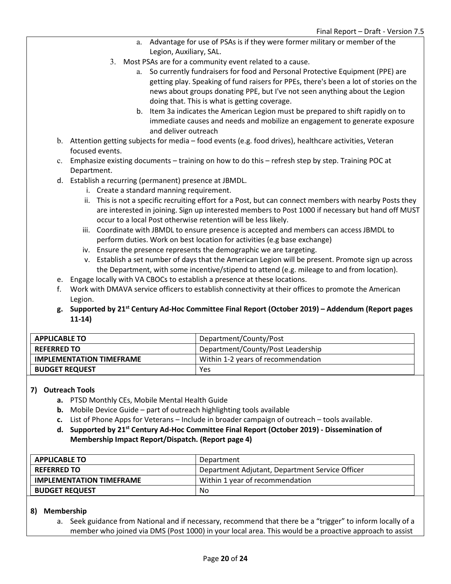- a. Advantage for use of PSAs is if they were former military or member of the Legion, Auxiliary, SAL.
- 3. Most PSAs are for a community event related to a cause.
	- a. So currently fundraisers for food and Personal Protective Equipment (PPE) are getting play. Speaking of fund raisers for PPEs, there's been a lot of stories on the news about groups donating PPE, but I've not seen anything about the Legion doing that. This is what is getting coverage.
	- b. Item 3a indicates the American Legion must be prepared to shift rapidly on to immediate causes and needs and mobilize an engagement to generate exposure and deliver outreach
- b. Attention getting subjects for media food events (e.g. food drives), healthcare activities, Veteran focused events.
- c. Emphasize existing documents training on how to do this refresh step by step. Training POC at Department.
- d. Establish a recurring (permanent) presence at JBMDL.
	- i. Create a standard manning requirement.
	- ii. This is not a specific recruiting effort for a Post, but can connect members with nearby Posts they are interested in joining. Sign up interested members to Post 1000 if necessary but hand off MUST occur to a local Post otherwise retention will be less likely.
	- iii. Coordinate with JBMDL to ensure presence is accepted and members can access JBMDL to perform duties. Work on best location for activities (e.g base exchange)
	- iv. Ensure the presence represents the demographic we are targeting.
	- v. Establish a set number of days that the American Legion will be present. Promote sign up across the Department, with some incentive/stipend to attend (e.g. mileage to and from location).
- e. Engage locally with VA CBOCs to establish a presence at these locations.
- f. Work with DMAVA service officers to establish connectivity at their offices to promote the American Legion.
- **g. Supported by 21st Century Ad-Hoc Committee Final Report (October 2019) – Addendum (Report pages 11-14)**

| <b>APPLICABLE TO</b>            | Department/County/Post             |
|---------------------------------|------------------------------------|
| <b>REFERRED TO</b>              | Department/County/Post Leadership  |
| <b>IMPLEMENTATION TIMEFRAME</b> | Within 1-2 years of recommendation |
| <b>BUDGET REQUEST</b>           | Yes                                |

#### **7) Outreach Tools**

- **a.** PTSD Monthly CEs, Mobile Mental Health Guide
- **b.** Mobile Device Guide part of outreach highlighting tools available
- **c.** List of Phone Apps for Veterans Include in broader campaign of outreach tools available.
- **d. Supported by 21st Century Ad-Hoc Committee Final Report (October 2019) - Dissemination of Membership Impact Report/Dispatch. (Report page 4)**

| <b>APPLICABLE TO</b>            | Department                                      |
|---------------------------------|-------------------------------------------------|
| <b>REFERRED TO</b>              | Department Adjutant, Department Service Officer |
| <b>IMPLEMENTATION TIMEFRAME</b> | Within 1 year of recommendation                 |
| <b>BUDGET REQUEST</b>           | No                                              |

#### **8) Membership**

a. Seek guidance from National and if necessary, recommend that there be a "trigger" to inform locally of a member who joined via DMS (Post 1000) in your local area. This would be a proactive approach to assist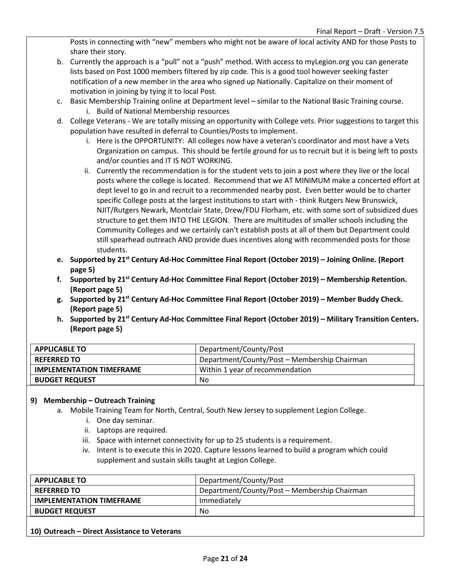Posts in connecting with "new" members who might not be aware of local activity AND for those Posts to share their story.

- b. Currently the approach is a "pull" not a "push" method. With access to myLegion.org you can generate lists based on Post 1000 members filtered by zip code. This is a good tool however seeking faster notification of a new member in the area who signed up Nationally. Capitalize on their moment of motivation in joining by tying it to local Post.
- c. Basic Membership Training online at Department level similar to the National Basic Training course. i. Build of National Membership resources
- d. College Veterans We are totally missing an opportunity with College vets. Prior suggestions to target this population have resulted in deferral to Counties/Posts to implement.
	- i. Here is the OPPORTUNITY: All colleges now have a veteran's coordinator and most have a Vets Organization on campus. This should be fertile ground for us to recruit but it is being left to posts and/or counties and IT IS NOT WORKING.
	- ii. Currently the recommendation is for the student vets to join a post where they live or the local posts where the college is located. Recommend that we AT MINIMUM make a concerted effort at dept level to go in and recruit to a recommended nearby post. Even better would be to charter specific College posts at the largest institutions to start with - think Rutgers New Brunswick, NJIT/Rutgers Newark, Montclair State, Drew/FDU Florham, etc. with some sort of subsidized dues structure to get them INTO THE LEGION. There are multitudes of smaller schools including the Community Colleges and we certainly can't establish posts at all of them but Department could still spearhead outreach AND provide dues incentives along with recommended posts for those students.
- **e. Supported by 21st Century Ad-Hoc Committee Final Report (October 2019) – Joining Online. (Report page 5)**
- **f. Supported by 21st Century Ad-Hoc Committee Final Report (October 2019) – Membership Retention. (Report page 5)**
- **g. Supported by 21st Century Ad-Hoc Committee Final Report (October 2019) – Member Buddy Check. (Report page 5)**
- **h. Supported by 21st Century Ad-Hoc Committee Final Report (October 2019) – Military Transition Centers. (Report page 5)**

| <b>APPLICABLE TO</b>            | Department/County/Post                       |
|---------------------------------|----------------------------------------------|
| <b>REFERRED TO</b>              | Department/County/Post - Membership Chairman |
| <b>IMPLEMENTATION TIMEFRAME</b> | Within 1 year of recommendation              |
| <b>BUDGET REQUEST</b>           | No                                           |

#### **9) Membership – Outreach Training**

- a. Mobile Training Team for North, Central, South New Jersey to supplement Legion College.
	- i. One day seminar.
	- ii. Laptops are required.
	- iii. Space with internet connectivity for up to 25 students is a requirement.
	- iv. Intent is to execute this in 2020. Capture lessons learned to build a program which could supplement and sustain skills taught at Legion College.

| Department/County/Post - Membership Chairman<br><b>REFERRED TO</b><br><b>IMPLEMENTATION TIMEFRAME</b><br>Immediately | <b>APPLICABLE TO</b>  | Department/County/Post |
|----------------------------------------------------------------------------------------------------------------------|-----------------------|------------------------|
|                                                                                                                      |                       |                        |
|                                                                                                                      |                       |                        |
|                                                                                                                      | <b>BUDGET REQUEST</b> | No                     |

**10) Outreach – Direct Assistance to Veterans**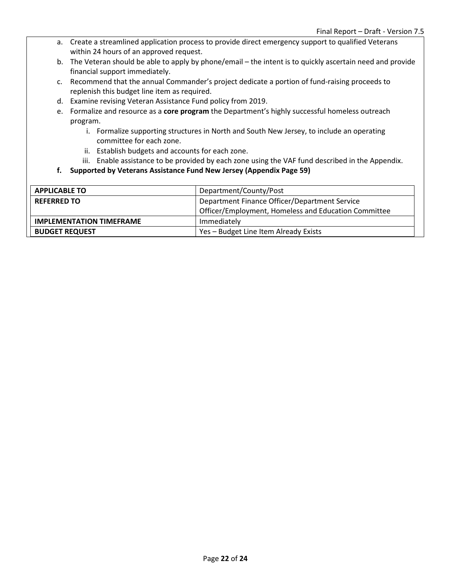- a. Create a streamlined application process to provide direct emergency support to qualified Veterans within 24 hours of an approved request.
- b. The Veteran should be able to apply by phone/email the intent is to quickly ascertain need and provide financial support immediately.
- c. Recommend that the annual Commander's project dedicate a portion of fund-raising proceeds to replenish this budget line item as required.
- d. Examine revising Veteran Assistance Fund policy from 2019.
- e. Formalize and resource as a **core program** the Department's highly successful homeless outreach program.
	- i. Formalize supporting structures in North and South New Jersey, to include an operating committee for each zone.
	- ii. Establish budgets and accounts for each zone.
	- iii. Enable assistance to be provided by each zone using the VAF fund described in the Appendix.
- **f. Supported by Veterans Assistance Fund New Jersey (Appendix Page 59)**

| <b>APPLICABLE TO</b>            | Department/County/Post                               |
|---------------------------------|------------------------------------------------------|
| <b>REFERRED TO</b>              | Department Finance Officer/Department Service        |
|                                 | Officer/Employment, Homeless and Education Committee |
| <b>IMPLEMENTATION TIMEFRAME</b> | Immediately                                          |
| <b>BUDGET REQUEST</b>           | Yes - Budget Line Item Already Exists                |